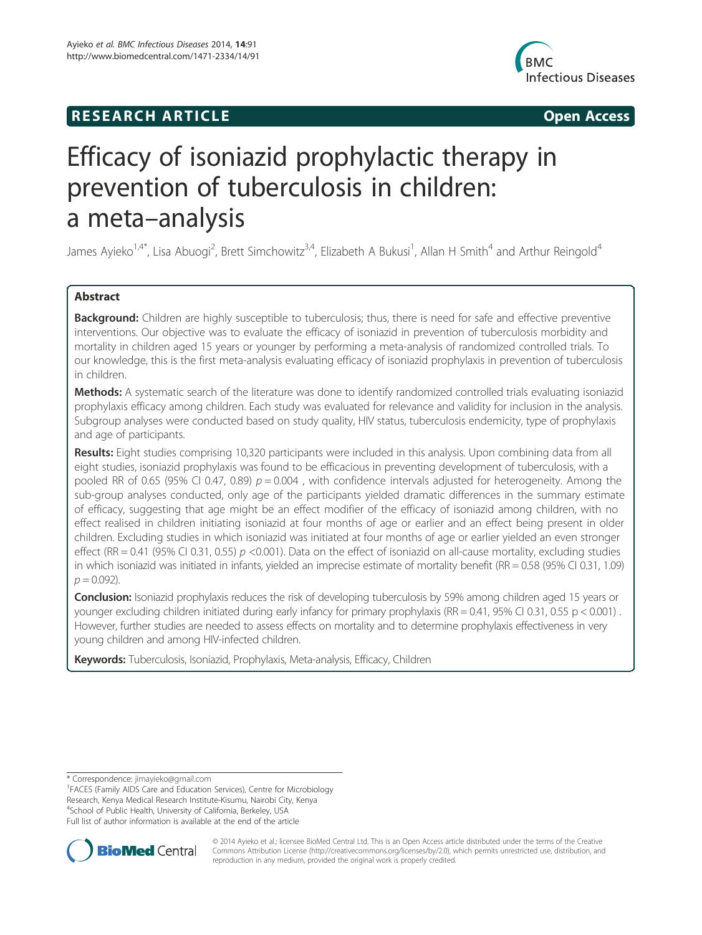# **RESEARCH ARTICLE Example 2014 12:30 The SEAR CHA RESEARCH ARTICLE**



# Efficacy of isoniazid prophylactic therapy in prevention of tuberculosis in children: a meta–analysis

James Ayieko<sup>1,4\*</sup>, Lisa Abuogi<sup>2</sup>, Brett Simchowitz<sup>3,4</sup>, Elizabeth A Bukusi<sup>1</sup>, Allan H Smith<sup>4</sup> and Arthur Reingold<sup>4</sup>

# Abstract

Background: Children are highly susceptible to tuberculosis; thus, there is need for safe and effective preventive interventions. Our objective was to evaluate the efficacy of isoniazid in prevention of tuberculosis morbidity and mortality in children aged 15 years or younger by performing a meta-analysis of randomized controlled trials. To our knowledge, this is the first meta-analysis evaluating efficacy of isoniazid prophylaxis in prevention of tuberculosis in children.

Methods: A systematic search of the literature was done to identify randomized controlled trials evaluating isoniazid prophylaxis efficacy among children. Each study was evaluated for relevance and validity for inclusion in the analysis. Subgroup analyses were conducted based on study quality, HIV status, tuberculosis endemicity, type of prophylaxis and age of participants.

Results: Eight studies comprising 10,320 participants were included in this analysis. Upon combining data from all eight studies, isoniazid prophylaxis was found to be efficacious in preventing development of tuberculosis, with a pooled RR of 0.65 (95% CI 0.47, 0.89)  $p = 0.004$ , with confidence intervals adjusted for heterogeneity. Among the sub-group analyses conducted, only age of the participants yielded dramatic differences in the summary estimate of efficacy, suggesting that age might be an effect modifier of the efficacy of isoniazid among children, with no effect realised in children initiating isoniazid at four months of age or earlier and an effect being present in older children. Excluding studies in which isoniazid was initiated at four months of age or earlier yielded an even stronger effect (RR = 0.41 (95% CI 0.31, 0.55)  $p \le 0.001$ ). Data on the effect of isoniazid on all-cause mortality, excluding studies in which isoniazid was initiated in infants, yielded an imprecise estimate of mortality benefit (RR = 0.58 (95% CI 0.31, 1.09)  $p = 0.092$ ).

Conclusion: Isoniazid prophylaxis reduces the risk of developing tuberculosis by 59% among children aged 15 years or younger excluding children initiated during early infancy for primary prophylaxis (RR =  $0.41$ , 95% CI 0.31, 0.55 p < 0.001). However, further studies are needed to assess effects on mortality and to determine prophylaxis effectiveness in very young children and among HIV-infected children.

Keywords: Tuberculosis, Isoniazid, Prophylaxis, Meta-analysis, Efficacy, Children

\* Correspondence: jimayieko@gmail.com <sup>1</sup>

FACES (Family AIDS Care and Education Services), Centre for Microbiology Research, Kenya Medical Research Institute-Kisumu, Nairobi City, Kenya 4 School of Public Health, University of California, Berkeley, USA Full list of author information is available at the end of the article



© 2014 Ayieko et al.; licensee BioMed Central Ltd. This is an Open Access article distributed under the terms of the Creative Commons Attribution License (http://creativecommons.org/licenses/by/2.0), which permits unrestricted use, distribution, and reproduction in any medium, provided the original work is properly credited.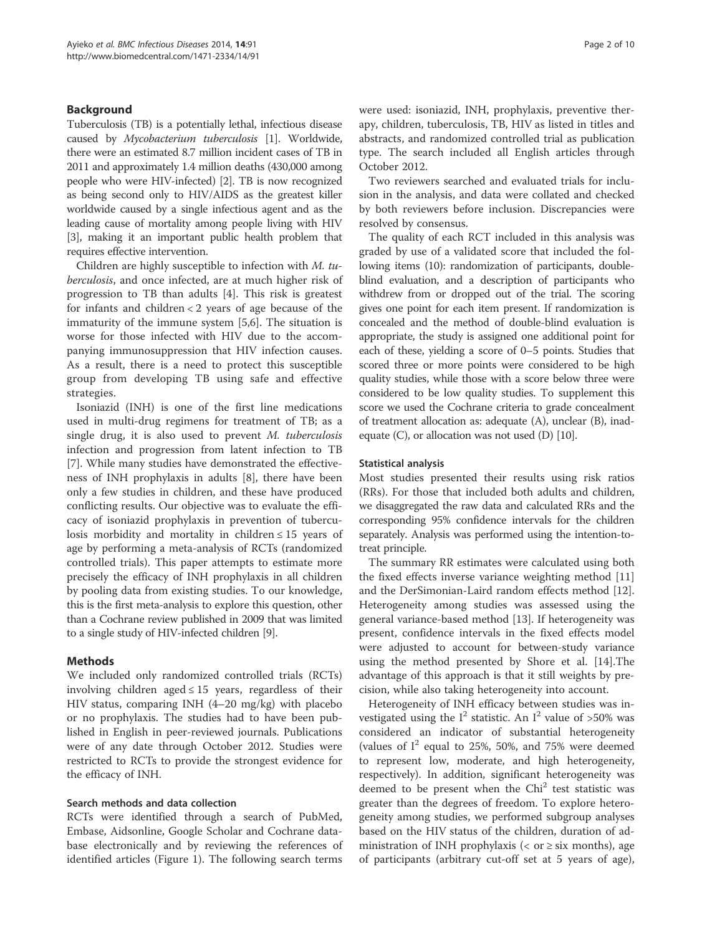# Background

Tuberculosis (TB) is a potentially lethal, infectious disease caused by Mycobacterium tuberculosis [1]. Worldwide, there were an estimated 8.7 million incident cases of TB in 2011 and approximately 1.4 million deaths (430,000 among people who were HIV-infected) [2]. TB is now recognized as being second only to HIV/AIDS as the greatest killer worldwide caused by a single infectious agent and as the leading cause of mortality among people living with HIV [3], making it an important public health problem that requires effective intervention.

Children are highly susceptible to infection with M. tuberculosis, and once infected, are at much higher risk of progression to TB than adults [4]. This risk is greatest for infants and children  $<$  2 years of age because of the immaturity of the immune system [5,6]. The situation is worse for those infected with HIV due to the accompanying immunosuppression that HIV infection causes. As a result, there is a need to protect this susceptible group from developing TB using safe and effective strategies.

Isoniazid (INH) is one of the first line medications used in multi-drug regimens for treatment of TB; as a single drug, it is also used to prevent M. tuberculosis infection and progression from latent infection to TB [7]. While many studies have demonstrated the effectiveness of INH prophylaxis in adults [8], there have been only a few studies in children, and these have produced conflicting results. Our objective was to evaluate the efficacy of isoniazid prophylaxis in prevention of tuberculosis morbidity and mortality in children  $\leq 15$  years of age by performing a meta-analysis of RCTs (randomized controlled trials). This paper attempts to estimate more precisely the efficacy of INH prophylaxis in all children by pooling data from existing studies. To our knowledge, this is the first meta-analysis to explore this question, other than a Cochrane review published in 2009 that was limited to a single study of HIV-infected children [9].

# Methods

We included only randomized controlled trials (RCTs) involving children aged  $\leq$  15 years, regardless of their HIV status, comparing INH (4–20 mg/kg) with placebo or no prophylaxis. The studies had to have been published in English in peer-reviewed journals. Publications were of any date through October 2012. Studies were restricted to RCTs to provide the strongest evidence for the efficacy of INH.

## Search methods and data collection

RCTs were identified through a search of PubMed, Embase, Aidsonline, Google Scholar and Cochrane database electronically and by reviewing the references of identified articles (Figure 1). The following search terms were used: isoniazid, INH, prophylaxis, preventive therapy, children, tuberculosis, TB, HIV as listed in titles and abstracts, and randomized controlled trial as publication type. The search included all English articles through October 2012.

Two reviewers searched and evaluated trials for inclusion in the analysis, and data were collated and checked by both reviewers before inclusion. Discrepancies were resolved by consensus.

The quality of each RCT included in this analysis was graded by use of a validated score that included the following items (10): randomization of participants, doubleblind evaluation, and a description of participants who withdrew from or dropped out of the trial. The scoring gives one point for each item present. If randomization is concealed and the method of double-blind evaluation is appropriate, the study is assigned one additional point for each of these, yielding a score of 0–5 points. Studies that scored three or more points were considered to be high quality studies, while those with a score below three were considered to be low quality studies. To supplement this score we used the Cochrane criteria to grade concealment of treatment allocation as: adequate (A), unclear (B), inadequate  $(C)$ , or allocation was not used  $(D)$  [10].

## Statistical analysis

Most studies presented their results using risk ratios (RRs). For those that included both adults and children, we disaggregated the raw data and calculated RRs and the corresponding 95% confidence intervals for the children separately. Analysis was performed using the intention-totreat principle.

The summary RR estimates were calculated using both the fixed effects inverse variance weighting method [11] and the DerSimonian-Laird random effects method [12]. Heterogeneity among studies was assessed using the general variance-based method [13]. If heterogeneity was present, confidence intervals in the fixed effects model were adjusted to account for between-study variance using the method presented by Shore et al. [14].The advantage of this approach is that it still weights by precision, while also taking heterogeneity into account.

Heterogeneity of INH efficacy between studies was investigated using the  $I^2$  statistic. An  $I^2$  value of >50% was considered an indicator of substantial heterogeneity (values of  $I^2$  equal to 25%, 50%, and 75% were deemed to represent low, moderate, and high heterogeneity, respectively). In addition, significant heterogeneity was deemed to be present when the  $Chi<sup>2</sup>$  test statistic was greater than the degrees of freedom. To explore heterogeneity among studies, we performed subgroup analyses based on the HIV status of the children, duration of administration of INH prophylaxis ( $\langle$  or  $\geq$  six months), age of participants (arbitrary cut-off set at 5 years of age),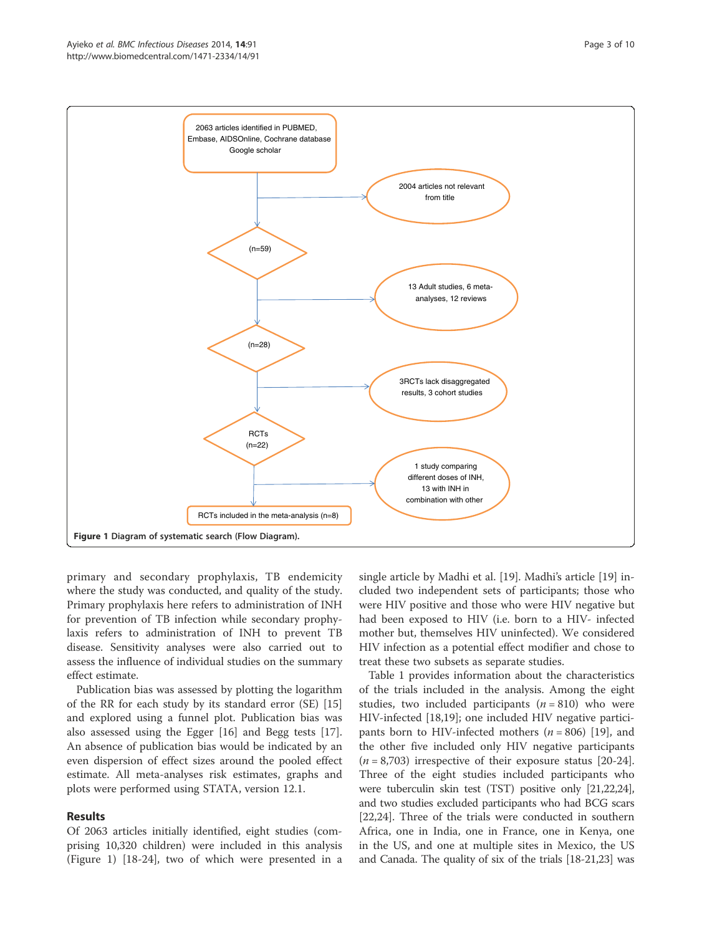

primary and secondary prophylaxis, TB endemicity where the study was conducted, and quality of the study. Primary prophylaxis here refers to administration of INH for prevention of TB infection while secondary prophylaxis refers to administration of INH to prevent TB disease. Sensitivity analyses were also carried out to assess the influence of individual studies on the summary effect estimate.

Publication bias was assessed by plotting the logarithm of the RR for each study by its standard error (SE) [15] and explored using a funnel plot. Publication bias was also assessed using the Egger [16] and Begg tests [17]. An absence of publication bias would be indicated by an even dispersion of effect sizes around the pooled effect estimate. All meta-analyses risk estimates, graphs and plots were performed using STATA, version 12.1.

# Results

Of 2063 articles initially identified, eight studies (comprising 10,320 children) were included in this analysis (Figure 1) [18-24], two of which were presented in a single article by Madhi et al. [19]. Madhi's article [19] included two independent sets of participants; those who were HIV positive and those who were HIV negative but had been exposed to HIV (i.e. born to a HIV- infected mother but, themselves HIV uninfected). We considered HIV infection as a potential effect modifier and chose to treat these two subsets as separate studies.

Table 1 provides information about the characteristics of the trials included in the analysis. Among the eight studies, two included participants  $(n = 810)$  who were HIV-infected [18,19]; one included HIV negative participants born to HIV-infected mothers ( $n = 806$ ) [19], and the other five included only HIV negative participants  $(n = 8,703)$  irrespective of their exposure status [20-24]. Three of the eight studies included participants who were tuberculin skin test (TST) positive only [21,22,24], and two studies excluded participants who had BCG scars [22,24]. Three of the trials were conducted in southern Africa, one in India, one in France, one in Kenya, one in the US, and one at multiple sites in Mexico, the US and Canada. The quality of six of the trials [18-21,23] was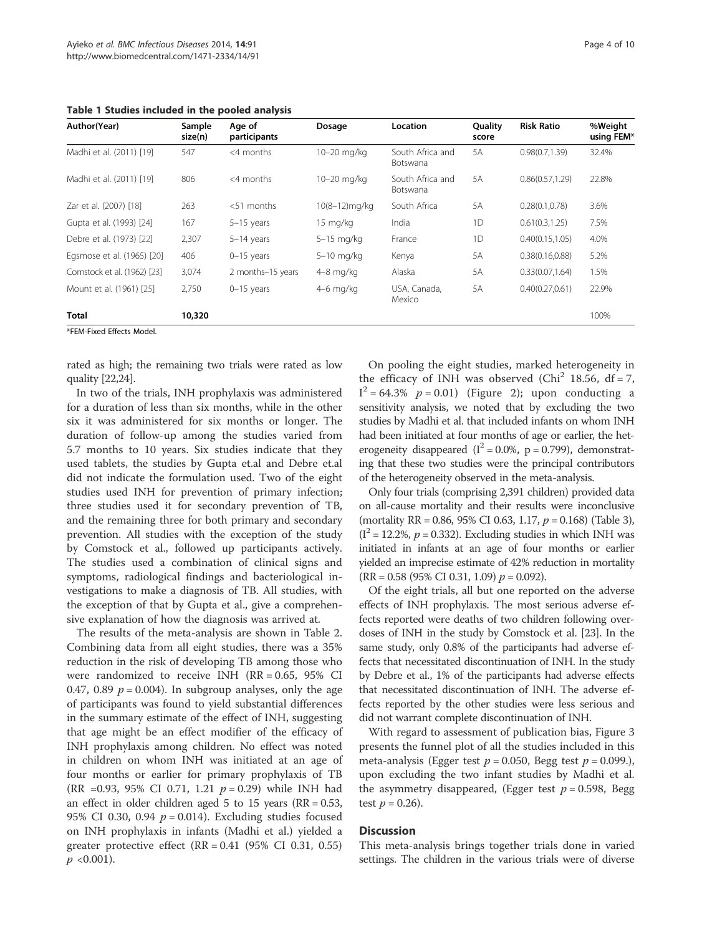Table 1 Studies included in the pooled analysis

| Author(Year)                | Sample<br>size(n) | Age of<br>participants | Dosage        | Location                     | Quality<br>score | <b>Risk Ratio</b> | %Weight<br>using FEM* |
|-----------------------------|-------------------|------------------------|---------------|------------------------------|------------------|-------------------|-----------------------|
| Madhi et al. (2011) [19]    | 547               | $<$ 4 months           | 10-20 mg/kg   | South Africa and<br>Botswana | 5A               | 0.98(0.7, 1.39)   | 32.4%                 |
| Madhi et al. (2011) [19]    | 806               | $<$ 4 months           | 10-20 mg/kg   | South Africa and<br>Botswana | 5A               | 0.86(0.57, 1.29)  | 22.8%                 |
| Zar et al. (2007) [18]      | 263               | $<$ 51 months          | 10(8-12)mg/kg | South Africa                 | 5A               | 0.28(0.1, 0.78)   | 3.6%                  |
| Gupta et al. (1993) [24]    | 167               | $5-15$ years           | 15 mg/kg      | India                        | 1D               | 0.61(0.3, 1.25)   | 7.5%                  |
| Debre et al. (1973) [22]    | 2,307             | $5-14$ years           | 5-15 mg/kg    | France                       | 1D               | 0.40(0.15, 1.05)  | 4.0%                  |
| Egsmose et al. (1965) [20]  | 406               | $0-15$ years           | 5-10 mg/kg    | Kenya                        | 5A               | 0.38(0.16, 0.88)  | 5.2%                  |
| Comstock et al. (1962) [23] | 3,074             | 2 months-15 years      | $4-8$ mg/kg   | Alaska                       | 5A               | 0.33(0.07, 1.64)  | 1.5%                  |
| Mount et al. (1961) [25]    | 2,750             | $0-15$ years           | $4-6$ mg/kg   | USA, Canada,<br>Mexico       | 5A               | 0.40(0.27, 0.61)  | 22.9%                 |
| Total                       | 10,320            |                        |               |                              |                  |                   | 100%                  |

\*FEM-Fixed Effects Model.

rated as high; the remaining two trials were rated as low quality [22,24].

In two of the trials, INH prophylaxis was administered for a duration of less than six months, while in the other six it was administered for six months or longer. The duration of follow-up among the studies varied from 5.7 months to 10 years. Six studies indicate that they used tablets, the studies by Gupta et.al and Debre et.al did not indicate the formulation used. Two of the eight studies used INH for prevention of primary infection; three studies used it for secondary prevention of TB, and the remaining three for both primary and secondary prevention. All studies with the exception of the study by Comstock et al., followed up participants actively. The studies used a combination of clinical signs and symptoms, radiological findings and bacteriological investigations to make a diagnosis of TB. All studies, with the exception of that by Gupta et al., give a comprehensive explanation of how the diagnosis was arrived at.

The results of the meta-analysis are shown in Table 2. Combining data from all eight studies, there was a 35% reduction in the risk of developing TB among those who were randomized to receive INH (RR = 0.65, 95% CI 0.47, 0.89  $p = 0.004$ ). In subgroup analyses, only the age of participants was found to yield substantial differences in the summary estimate of the effect of INH, suggesting that age might be an effect modifier of the efficacy of INH prophylaxis among children. No effect was noted in children on whom INH was initiated at an age of four months or earlier for primary prophylaxis of TB (RR =0.93, 95% CI 0.71, 1.21  $p = 0.29$ ) while INH had an effect in older children aged 5 to 15 years ( $RR = 0.53$ , 95% CI 0.30, 0.94  $p = 0.014$ ). Excluding studies focused on INH prophylaxis in infants (Madhi et al.) yielded a greater protective effect  $(RR = 0.41 \ (95\% \ CI \ 0.31, \ 0.55)$  $p \leq 0.001$ ).

On pooling the eight studies, marked heterogeneity in the efficacy of INH was observed ( $Chi<sup>2</sup>$  18.56, df = 7,  $I^2 = 64.3\%$   $p = 0.01$ ) (Figure 2); upon conducting a sensitivity analysis, we noted that by excluding the two studies by Madhi et al. that included infants on whom INH had been initiated at four months of age or earlier, the heterogeneity disappeared ( $I^2 = 0.0\%$ , p = 0.799), demonstrating that these two studies were the principal contributors of the heterogeneity observed in the meta-analysis.

Only four trials (comprising 2,391 children) provided data on all-cause mortality and their results were inconclusive (mortality RR = 0.86, 95% CI 0.63, 1.17,  $p = 0.168$ ) (Table 3),  $(I^2 = 12.2\%, p = 0.332)$ . Excluding studies in which INH was initiated in infants at an age of four months or earlier yielded an imprecise estimate of 42% reduction in mortality  $(RR = 0.58 (95\% CI 0.31, 1.09) p = 0.092)$ .

Of the eight trials, all but one reported on the adverse effects of INH prophylaxis. The most serious adverse effects reported were deaths of two children following overdoses of INH in the study by Comstock et al. [23]. In the same study, only 0.8% of the participants had adverse effects that necessitated discontinuation of INH. In the study by Debre et al., 1% of the participants had adverse effects that necessitated discontinuation of INH. The adverse effects reported by the other studies were less serious and did not warrant complete discontinuation of INH.

With regard to assessment of publication bias, Figure 3 presents the funnel plot of all the studies included in this meta-analysis (Egger test  $p = 0.050$ , Begg test  $p = 0.099$ .), upon excluding the two infant studies by Madhi et al. the asymmetry disappeared, (Egger test  $p = 0.598$ , Begg test  $p = 0.26$ ).

## Discussion

This meta-analysis brings together trials done in varied settings. The children in the various trials were of diverse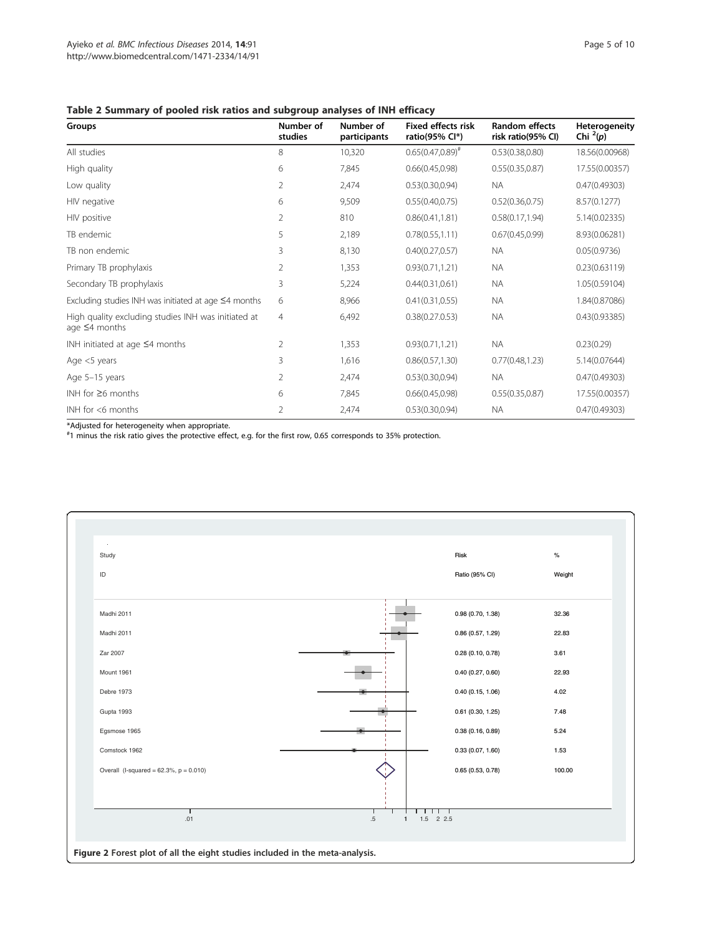# Table 2 Summary of pooled risk ratios and subgroup analyses of INH efficacy

| Groups                                                                     | Number of<br>studies | Number of<br>participants | <b>Fixed effects risk</b><br>ratio(95% Cl*) | <b>Random effects</b><br>risk ratio(95% CI) | <b>Heterogeneity</b><br>Chi $^{2}(p)$ |
|----------------------------------------------------------------------------|----------------------|---------------------------|---------------------------------------------|---------------------------------------------|---------------------------------------|
| All studies                                                                | 8                    | 10,320                    | $0.65(0.47,0.89)^{*}$                       | 0.53(0.38, 0.80)                            | 18.56(0.00968)                        |
| High quality                                                               | 6                    | 7,845                     | 0.66(0.45, 0.98)                            | 0.55(0.35, 0.87)                            | 17.55(0.00357)                        |
| Low quality                                                                | 2                    | 2,474                     | 0.53(0.30, 0.94)                            | <b>NA</b>                                   | 0.47(0.49303)                         |
| HIV negative                                                               | 6                    | 9,509                     | 0.55(0.40, 0.75)                            | 0.52(0.36, 0.75)                            | 8.57(0.1277)                          |
| HIV positive                                                               | 2                    | 810                       | 0.86(0.41, 1.81)                            | 0.58(0.17, 1.94)                            | 5.14(0.02335)                         |
| TB endemic                                                                 | 5                    | 2,189                     | 0.78(0.55, 1.11)                            | 0.67(0.45, 0.99)                            | 8.93(0.06281)                         |
| TB non endemic                                                             | 3                    | 8,130                     | 0.40(0.27, 0.57)                            | <b>NA</b>                                   | 0.05(0.9736)                          |
| Primary TB prophylaxis                                                     | 2                    | 1,353                     | 0.93(0.71, 1.21)                            | <b>NA</b>                                   | 0.23(0.63119)                         |
| Secondary TB prophylaxis                                                   | 3                    | 5,224                     | 0.44(0.31, 0.61)                            | <b>NA</b>                                   | 1.05(0.59104)                         |
| Excluding studies INH was initiated at age $\leq$ 4 months                 | 6                    | 8,966                     | 0.41(0.31, 0.55)                            | <b>NA</b>                                   | 1.84(0.87086)                         |
| High quality excluding studies INH was initiated at<br>age $\leq$ 4 months | $\overline{4}$       | 6,492                     | 0.38(0.27.0.53)                             | <b>NA</b>                                   | 0.43(0.93385)                         |
| INH initiated at age $\leq$ 4 months                                       | 2                    | 1,353                     | 0.93(0.71, 1.21)                            | <b>NA</b>                                   | 0.23(0.29)                            |
| Age $<$ 5 years                                                            | 3                    | 1,616                     | 0.86(0.57, 1.30)                            | 0.77(0.48, 1.23)                            | 5.14(0.07644)                         |
| Age 5-15 years                                                             | 2                    | 2,474                     | 0.53(0.30, 0.94)                            | <b>NA</b>                                   | 0.47(0.49303)                         |
| INH for $\geq 6$ months                                                    | 6                    | 7,845                     | 0.66(0.45, 0.98)                            | 0.55(0.35, 0.87)                            | 17.55(0.00357)                        |
| INH for <6 months                                                          | $\overline{2}$       | 2,474                     | 0.53(0.30, 0.94)                            | <b>NA</b>                                   | 0.47(0.49303)                         |

\*Adjusted for heterogeneity when appropriate. # 1 minus the risk ratio gives the protective effect, e.g. for the first row, 0.65 corresponds to 35% protection.

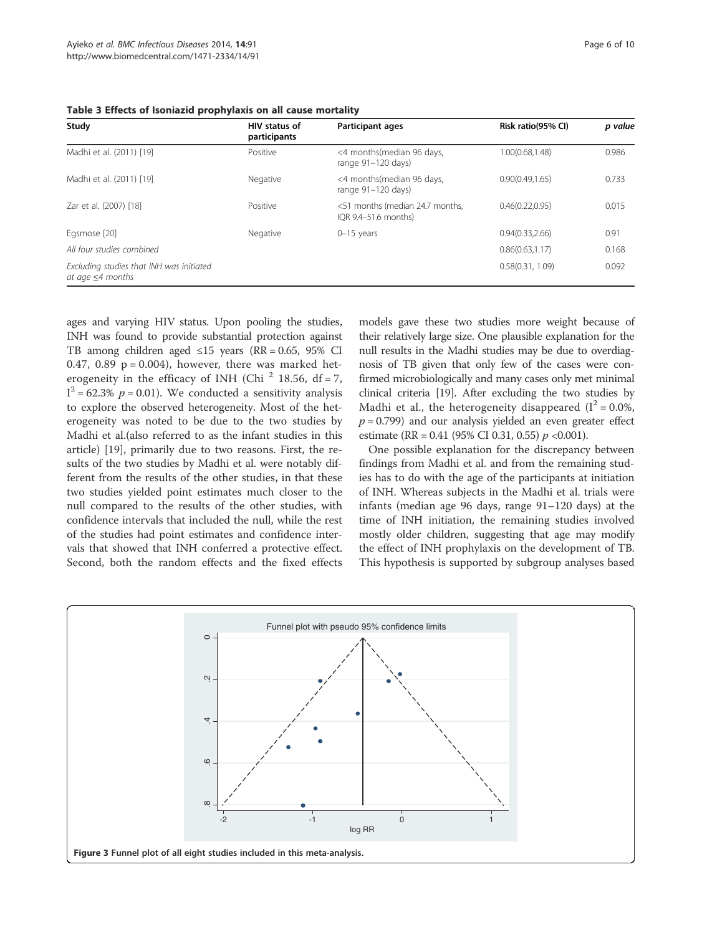| Study                                                              | HIV status of<br>participants | <b>Participant ages</b>                                 | Risk ratio(95% CI) | p value |
|--------------------------------------------------------------------|-------------------------------|---------------------------------------------------------|--------------------|---------|
| Madhi et al. (2011) [19]                                           | Positive                      | <4 months(median 96 days,<br>range $91-120$ days)       | 1.00(0.68,1.48)    | 0.986   |
| Madhi et al. (2011) [19]                                           | Negative                      | <4 months(median 96 days,<br>range $91-120$ days)       | 0.90(0.49.1.65)    | 0.733   |
| Zar et al. (2007) [18]                                             | Positive                      | <51 months (median 24.7 months,<br>IOR 9.4-51.6 months) | 0.46(0.22.0.95)    | 0.015   |
| Egsmose [20]                                                       | Negative                      | $0-15$ years                                            | 0.94(0.33, 2.66)   | 0.91    |
| All four studies combined                                          |                               |                                                         | 0.86(0.63.1.17)    | 0.168   |
| Excluding studies that INH was initiated<br>at age $\leq$ 4 months |                               |                                                         | 0.58(0.31, 1.09)   | 0.092   |

Table 3 Effects of Isoniazid prophylaxis on all cause mortality

ages and varying HIV status. Upon pooling the studies, INH was found to provide substantial protection against TB among children aged ≤15 years (RR = 0.65, 95% CI 0.47, 0.89  $p = 0.004$ ), however, there was marked heterogeneity in the efficacy of INH (Chi  $^2$  18.56, df = 7,  $I^2$  = 62.3%  $p$  = 0.01). We conducted a sensitivity analysis to explore the observed heterogeneity. Most of the heterogeneity was noted to be due to the two studies by Madhi et al.(also referred to as the infant studies in this article) [19], primarily due to two reasons. First, the results of the two studies by Madhi et al. were notably different from the results of the other studies, in that these two studies yielded point estimates much closer to the null compared to the results of the other studies, with confidence intervals that included the null, while the rest of the studies had point estimates and confidence intervals that showed that INH conferred a protective effect. Second, both the random effects and the fixed effects

models gave these two studies more weight because of their relatively large size. One plausible explanation for the null results in the Madhi studies may be due to overdiagnosis of TB given that only few of the cases were confirmed microbiologically and many cases only met minimal clinical criteria [19]. After excluding the two studies by Madhi et al., the heterogeneity disappeared  $(I^2 = 0.0\%$ ,  $p = 0.799$ ) and our analysis yielded an even greater effect estimate (RR = 0.41 (95% CI 0.31, 0.55)  $p \le 0.001$ ).

One possible explanation for the discrepancy between findings from Madhi et al. and from the remaining studies has to do with the age of the participants at initiation of INH. Whereas subjects in the Madhi et al. trials were infants (median age 96 days, range 91–120 days) at the time of INH initiation, the remaining studies involved mostly older children, suggesting that age may modify the effect of INH prophylaxis on the development of TB. This hypothesis is supported by subgroup analyses based

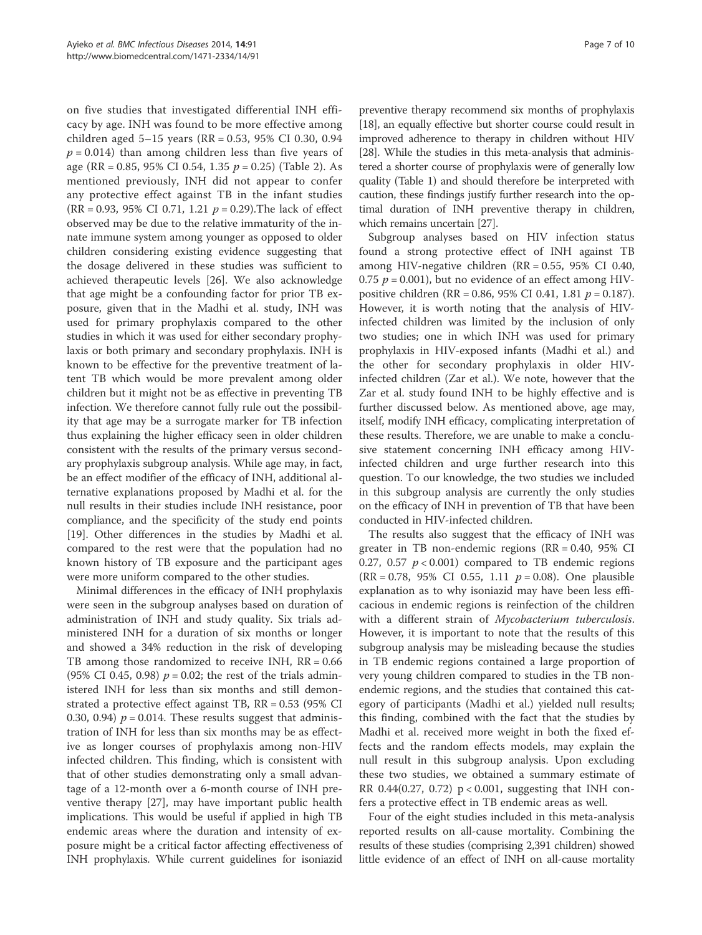on five studies that investigated differential INH efficacy by age. INH was found to be more effective among children aged 5–15 years (RR = 0.53, 95% CI 0.30, 0.94  $p = 0.014$ ) than among children less than five years of age (RR = 0.85, 95% CI 0.54, 1.35  $p = 0.25$ ) (Table 2). As mentioned previously, INH did not appear to confer any protective effect against TB in the infant studies (RR = 0.93, 95% CI 0.71, 1.21  $p = 0.29$ ). The lack of effect observed may be due to the relative immaturity of the innate immune system among younger as opposed to older children considering existing evidence suggesting that the dosage delivered in these studies was sufficient to achieved therapeutic levels [26]. We also acknowledge that age might be a confounding factor for prior TB exposure, given that in the Madhi et al. study, INH was used for primary prophylaxis compared to the other studies in which it was used for either secondary prophylaxis or both primary and secondary prophylaxis. INH is known to be effective for the preventive treatment of latent TB which would be more prevalent among older children but it might not be as effective in preventing TB infection. We therefore cannot fully rule out the possibility that age may be a surrogate marker for TB infection thus explaining the higher efficacy seen in older children consistent with the results of the primary versus secondary prophylaxis subgroup analysis. While age may, in fact, be an effect modifier of the efficacy of INH, additional alternative explanations proposed by Madhi et al. for the null results in their studies include INH resistance, poor compliance, and the specificity of the study end points [19]. Other differences in the studies by Madhi et al. compared to the rest were that the population had no known history of TB exposure and the participant ages were more uniform compared to the other studies.

Minimal differences in the efficacy of INH prophylaxis were seen in the subgroup analyses based on duration of administration of INH and study quality. Six trials administered INH for a duration of six months or longer and showed a 34% reduction in the risk of developing TB among those randomized to receive INH,  $RR = 0.66$ (95% CI 0.45, 0.98)  $p = 0.02$ ; the rest of the trials administered INH for less than six months and still demonstrated a protective effect against TB, RR = 0.53 (95% CI 0.30, 0.94)  $p = 0.014$ . These results suggest that administration of INH for less than six months may be as effective as longer courses of prophylaxis among non-HIV infected children. This finding, which is consistent with that of other studies demonstrating only a small advantage of a 12-month over a 6-month course of INH preventive therapy [27], may have important public health implications. This would be useful if applied in high TB endemic areas where the duration and intensity of exposure might be a critical factor affecting effectiveness of INH prophylaxis. While current guidelines for isoniazid

preventive therapy recommend six months of prophylaxis [18], an equally effective but shorter course could result in improved adherence to therapy in children without HIV [28]. While the studies in this meta-analysis that administered a shorter course of prophylaxis were of generally low quality (Table 1) and should therefore be interpreted with caution, these findings justify further research into the optimal duration of INH preventive therapy in children, which remains uncertain [27].

Subgroup analyses based on HIV infection status found a strong protective effect of INH against TB among HIV-negative children (RR = 0.55, 95% CI 0.40, 0.75  $p = 0.001$ , but no evidence of an effect among HIVpositive children (RR = 0.86, 95% CI 0.41, 1.81  $p = 0.187$ ). However, it is worth noting that the analysis of HIVinfected children was limited by the inclusion of only two studies; one in which INH was used for primary prophylaxis in HIV-exposed infants (Madhi et al.) and the other for secondary prophylaxis in older HIVinfected children (Zar et al.). We note, however that the Zar et al. study found INH to be highly effective and is further discussed below. As mentioned above, age may, itself, modify INH efficacy, complicating interpretation of these results. Therefore, we are unable to make a conclusive statement concerning INH efficacy among HIVinfected children and urge further research into this question. To our knowledge, the two studies we included in this subgroup analysis are currently the only studies on the efficacy of INH in prevention of TB that have been conducted in HIV-infected children.

The results also suggest that the efficacy of INH was greater in TB non-endemic regions (RR = 0.40, 95% CI 0.27, 0.57  $p < 0.001$ ) compared to TB endemic regions (RR = 0.78, 95% CI 0.55, 1.11  $p = 0.08$ ). One plausible explanation as to why isoniazid may have been less efficacious in endemic regions is reinfection of the children with a different strain of Mycobacterium tuberculosis. However, it is important to note that the results of this subgroup analysis may be misleading because the studies in TB endemic regions contained a large proportion of very young children compared to studies in the TB nonendemic regions, and the studies that contained this category of participants (Madhi et al.) yielded null results; this finding, combined with the fact that the studies by Madhi et al. received more weight in both the fixed effects and the random effects models, may explain the null result in this subgroup analysis. Upon excluding these two studies, we obtained a summary estimate of RR 0.44(0.27, 0.72) p < 0.001, suggesting that INH confers a protective effect in TB endemic areas as well.

Four of the eight studies included in this meta-analysis reported results on all-cause mortality. Combining the results of these studies (comprising 2,391 children) showed little evidence of an effect of INH on all-cause mortality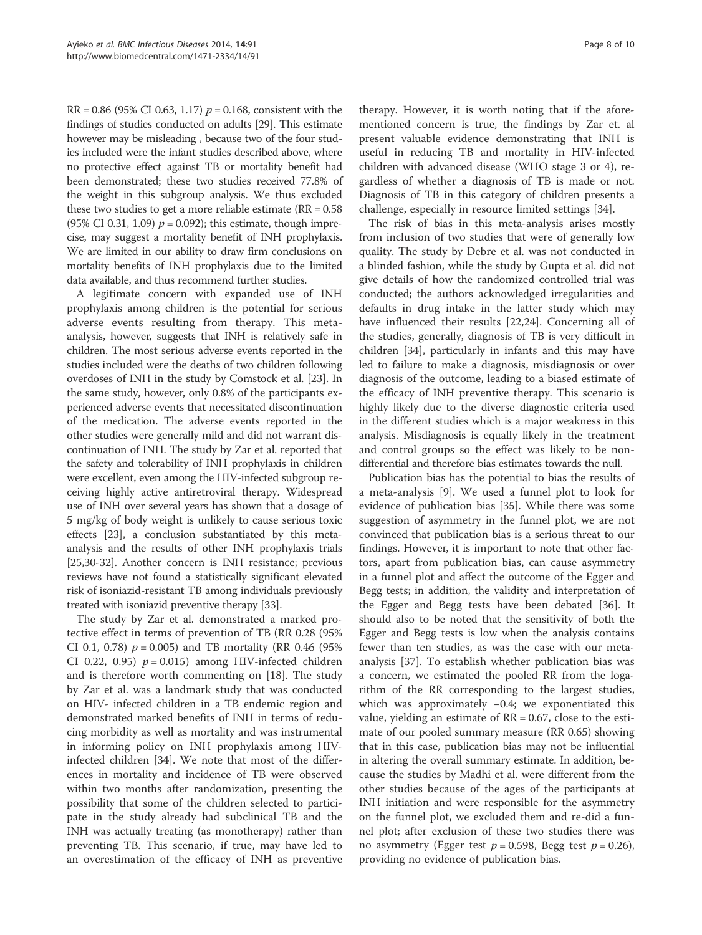$RR = 0.86$  (95% CI 0.63, 1.17)  $p = 0.168$ , consistent with the findings of studies conducted on adults [29]. This estimate however may be misleading , because two of the four studies included were the infant studies described above, where no protective effect against TB or mortality benefit had been demonstrated; these two studies received 77.8% of the weight in this subgroup analysis. We thus excluded these two studies to get a more reliable estimate ( $RR = 0.58$ ) (95% CI 0.31, 1.09)  $p = 0.092$ ); this estimate, though imprecise, may suggest a mortality benefit of INH prophylaxis. We are limited in our ability to draw firm conclusions on mortality benefits of INH prophylaxis due to the limited data available, and thus recommend further studies.

A legitimate concern with expanded use of INH prophylaxis among children is the potential for serious adverse events resulting from therapy. This metaanalysis, however, suggests that INH is relatively safe in children. The most serious adverse events reported in the studies included were the deaths of two children following overdoses of INH in the study by Comstock et al. [23]. In the same study, however, only 0.8% of the participants experienced adverse events that necessitated discontinuation of the medication. The adverse events reported in the other studies were generally mild and did not warrant discontinuation of INH. The study by Zar et al. reported that the safety and tolerability of INH prophylaxis in children were excellent, even among the HIV-infected subgroup receiving highly active antiretroviral therapy. Widespread use of INH over several years has shown that a dosage of 5 mg/kg of body weight is unlikely to cause serious toxic effects [23], a conclusion substantiated by this metaanalysis and the results of other INH prophylaxis trials [25,30-32]. Another concern is INH resistance; previous reviews have not found a statistically significant elevated risk of isoniazid-resistant TB among individuals previously treated with isoniazid preventive therapy [33].

The study by Zar et al. demonstrated a marked protective effect in terms of prevention of TB (RR 0.28 (95% CI 0.1, 0.78)  $p = 0.005$  and TB mortality (RR 0.46 (95%) CI 0.22, 0.95)  $p = 0.015$  among HIV-infected children and is therefore worth commenting on [18]. The study by Zar et al. was a landmark study that was conducted on HIV- infected children in a TB endemic region and demonstrated marked benefits of INH in terms of reducing morbidity as well as mortality and was instrumental in informing policy on INH prophylaxis among HIVinfected children [34]. We note that most of the differences in mortality and incidence of TB were observed within two months after randomization, presenting the possibility that some of the children selected to participate in the study already had subclinical TB and the INH was actually treating (as monotherapy) rather than preventing TB. This scenario, if true, may have led to an overestimation of the efficacy of INH as preventive therapy. However, it is worth noting that if the aforementioned concern is true, the findings by Zar et. al present valuable evidence demonstrating that INH is useful in reducing TB and mortality in HIV-infected children with advanced disease (WHO stage 3 or 4), regardless of whether a diagnosis of TB is made or not. Diagnosis of TB in this category of children presents a challenge, especially in resource limited settings [34].

The risk of bias in this meta-analysis arises mostly from inclusion of two studies that were of generally low quality. The study by Debre et al. was not conducted in a blinded fashion, while the study by Gupta et al. did not give details of how the randomized controlled trial was conducted; the authors acknowledged irregularities and defaults in drug intake in the latter study which may have influenced their results [22,24]. Concerning all of the studies, generally, diagnosis of TB is very difficult in children [34], particularly in infants and this may have led to failure to make a diagnosis, misdiagnosis or over diagnosis of the outcome, leading to a biased estimate of the efficacy of INH preventive therapy. This scenario is highly likely due to the diverse diagnostic criteria used in the different studies which is a major weakness in this analysis. Misdiagnosis is equally likely in the treatment and control groups so the effect was likely to be nondifferential and therefore bias estimates towards the null.

Publication bias has the potential to bias the results of a meta-analysis [9]. We used a funnel plot to look for evidence of publication bias [35]. While there was some suggestion of asymmetry in the funnel plot, we are not convinced that publication bias is a serious threat to our findings. However, it is important to note that other factors, apart from publication bias, can cause asymmetry in a funnel plot and affect the outcome of the Egger and Begg tests; in addition, the validity and interpretation of the Egger and Begg tests have been debated [36]. It should also to be noted that the sensitivity of both the Egger and Begg tests is low when the analysis contains fewer than ten studies, as was the case with our metaanalysis [37]. To establish whether publication bias was a concern, we estimated the pooled RR from the logarithm of the RR corresponding to the largest studies, which was approximately −0.4; we exponentiated this value, yielding an estimate of  $RR = 0.67$ , close to the estimate of our pooled summary measure (RR 0.65) showing that in this case, publication bias may not be influential in altering the overall summary estimate. In addition, because the studies by Madhi et al. were different from the other studies because of the ages of the participants at INH initiation and were responsible for the asymmetry on the funnel plot, we excluded them and re-did a funnel plot; after exclusion of these two studies there was no asymmetry (Egger test  $p = 0.598$ , Begg test  $p = 0.26$ ), providing no evidence of publication bias.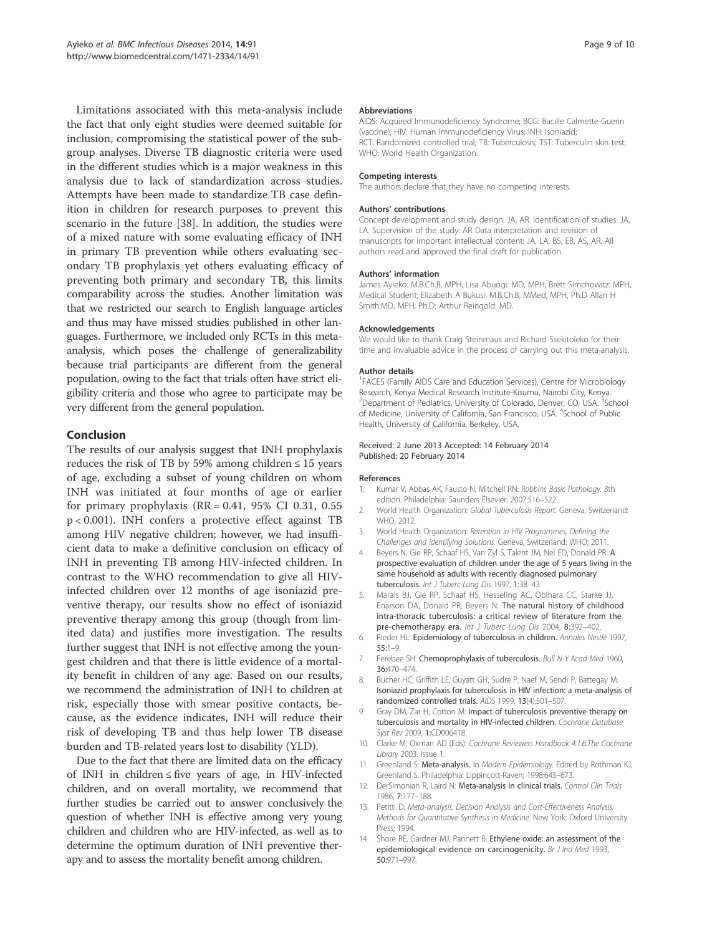Limitations associated with this meta-analysis include the fact that only eight studies were deemed suitable for inclusion, compromising the statistical power of the subgroup analyses. Diverse TB diagnostic criteria were used in the different studies which is a major weakness in this analysis due to lack of standardization across studies. Attempts have been made to standardize TB case definition in children for research purposes to prevent this scenario in the future [38]. In addition, the studies were of a mixed nature with some evaluating efficacy of INH in primary TB prevention while others evaluating secondary TB prophylaxis yet others evaluating efficacy of preventing both primary and secondary TB, this limits comparability across the studies. Another limitation was that we restricted our search to English language articles and thus may have missed studies published in other languages. Furthermore, we included only RCTs in this metaanalysis, which poses the challenge of generalizability because trial participants are different from the general population, owing to the fact that trials often have strict eligibility criteria and those who agree to participate may be very different from the general population.

# Conclusion

The results of our analysis suggest that INH prophylaxis reduces the risk of TB by 59% among children  $\leq 15$  years of age, excluding a subset of young children on whom INH was initiated at four months of age or earlier for primary prophylaxis  $(RR = 0.41, 95\% \text{ CI } 0.31, 0.55$ p < 0.001). INH confers a protective effect against TB among HIV negative children; however, we had insufficient data to make a definitive conclusion on efficacy of INH in preventing TB among HIV-infected children. In contrast to the WHO recommendation to give all HIVinfected children over 12 months of age isoniazid preventive therapy, our results show no effect of isoniazid preventive therapy among this group (though from limited data) and justifies more investigation. The results further suggest that INH is not effective among the youngest children and that there is little evidence of a mortality benefit in children of any age. Based on our results, we recommend the administration of INH to children at risk, especially those with smear positive contacts, because, as the evidence indicates, INH will reduce their risk of developing TB and thus help lower TB disease burden and TB-related years lost to disability (YLD).

Due to the fact that there are limited data on the efficacy of INH in children  $\leq$  five years of age, in HIV-infected children, and on overall mortality, we recommend that further studies be carried out to answer conclusively the question of whether INH is effective among very young children and children who are HIV-infected, as well as to determine the optimum duration of INH preventive therapy and to assess the mortality benefit among children.

#### **Abbreviations**

AIDS: Acquired Immunodeficiency Syndrome; BCG: Bacille Calmette-Guerin (vaccine); HIV: Human Immunodeficiency Virus; INH: Isoniazid; RCT: Randomized controlled trial; TB: Tuberculosis; TST: Tuberculin skin test; WHO: World Health Organization.

#### Competing interests

The authors declare that they have no competing interests.

#### Authors' contributions

Concept development and study design: JA, AR. Identification of studies: JA, LA. Supervision of the study: AR Data interpretation and revision of manuscripts for important intellectual content: JA, LA, BS, EB, AS, AR, All authors read and approved the final draft for publication.

#### Authors' information

James Ayieko: M.B.Ch.B, MPH; Lisa Abuogi: MD, MPH; Brett Simchowitz: MPH, Medical Student; Elizabeth A Bukusi: M.B.Ch.B, MMed, MPH, Ph.D Allan H Smith:MD, MPH, Ph.D: Arthur Reingold: MD.

#### Acknowledgements

We would like to thank Craig Steinmaus and Richard Ssekitoleko for their time and invaluable advice in the process of carrying out this meta-analysis.

#### Author details

<sup>1</sup>FACES (Family AIDS Care and Education Services), Centre for Microbiology Research, Kenya Medical Research Institute-Kisumu, Nairobi City, Kenya. <sup>2</sup> Department of Pediatrics, University of Colorado, Denver, CO, USA. <sup>3</sup> School of Medicine, University of California, San Francisco, USA. <sup>4</sup>School of Public Health, University of California, Berkeley, USA.

#### Received: 2 June 2013 Accepted: 14 February 2014 Published: 20 February 2014

#### References

- 1. Kumar V, Abbas AK, Fausto N, Mitchell RN: Robbins Basic Pathology. 8th edition. Philadelphia: Saunders Elsevier; 2007:516–522.
- 2. World Health Organization: Global Tuberculosis Report. Geneva, Switzerland: WHO; 2012.
- 3. World Health Organization: Retention in HIV Programmes, Defining the Challenges and Identifying Solutions. Geneva, Switzerland: WHO; 2011.
- 4. Beyers N, Gie RP, Schaaf HS, Van Zyl S, Talent JM, Nel ED, Donald PR: A prospective evaluation of children under the age of 5 years living in the same household as adults with recently diagnosed pulmonary tuberculosis. Int J Tuberc Lung Dis 1997, 1:38–43.
- 5. Marais BJ, Gie RP, Schaaf HS, Hesseling AC, Obihara CC, Starke JJ, Enarson DA, Donald PR, Beyers N: The natural history of childhood intra-thoracic tuberculosis: a critical review of literature from the pre-chemotherapy era. Int J Tuberc Lung Dis 2004, 8:392–402.
- 6. Rieder HL: Epidemiology of tuberculosis in children. Annales Nestlé 1997, 55:1–9.
- 7. Ferebee SH: Chemoprophylaxis of tuberculosis. Bull N Y Acad Med 1960, 36:470–474.
- 8. Bucher HC, Griffith LE, Guyatt GH, Sudre P, Naef M, Sendi P, Battegay M: Isoniazid prophylaxis for tuberculosis in HIV infection: a meta-analysis of randomized controlled trials. AIDS 1999, 13(4):501–507.
- 9. Gray DM, Zar H, Cotton M: Impact of tuberculosis preventive therapy on tuberculosis and mortality in HIV-infected children. Cochrane Database Syst Rev 2009, 1:CD006418.
- 10. Clarke M, Oxman AD (Eds): Cochrane Reviewers Handbook 4.1.6.The Cochrane Library 2003. Issue 1.
- 11. Greenland S: Meta-analysis. In Modern Epidemiology. Edited by Rothman KJ, Greenland S. Philadelphia: Lippincott-Raven; 1998:643–673.
- 12. DerSimonian R, Laird N: Meta-analysis in clinical trials. Control Clin Trials 1986, 7:177–188.
- 13. Petitti D: Meta-analysis, Decision Analysis and Cost-Effectiveness Analysis: Methods for Quantitative Synthesis in Medicine. New York: Oxford University Press; 1994.
- 14. Shore RE, Gardner MJ, Pannett B: Ethylene oxide: an assessment of the epidemiological evidence on carcinogenicity. Br J Ind Med 1993, 50:971–997.